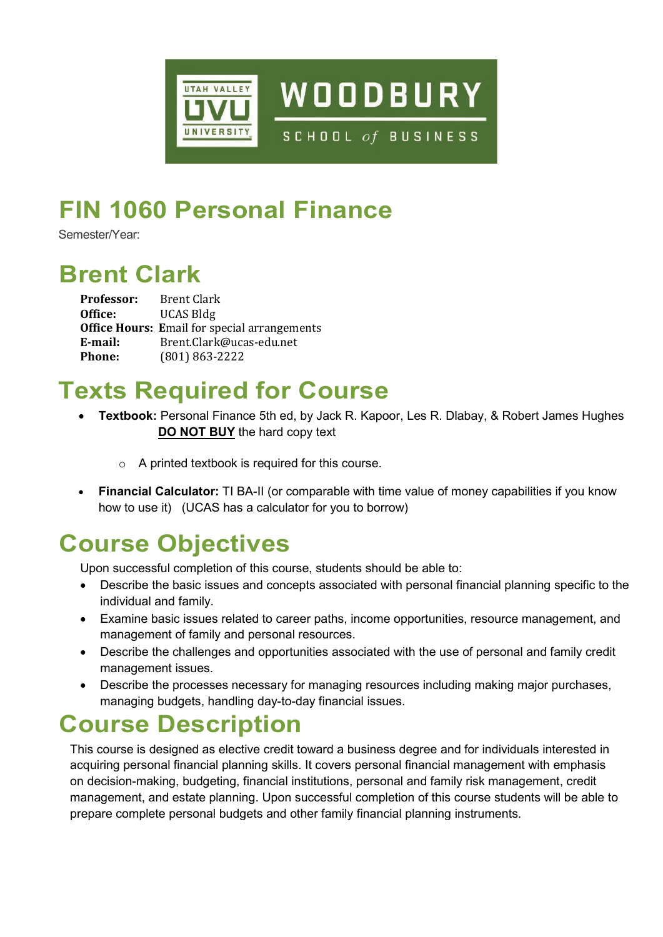

# **FIN 1060 Personal Finance**

Semester/Year:

## **Brent Clark**

| <b>Professor:</b> | <b>Brent Clark</b>                                  |
|-------------------|-----------------------------------------------------|
| Office:           | <b>UCAS Bldg</b>                                    |
|                   | <b>Office Hours: Email for special arrangements</b> |
| E-mail:           | Brent.Clark@ucas-edu.net                            |
| <b>Phone:</b>     | $(801) 863 - 2222$                                  |

## **Texts Required for Course**

- **Textbook:** Personal Finance 5th ed, by Jack R. Kapoor, Les R. Dlabay, & Robert James Hughes  **DO NOT BUY** the hard copy text
	- o A printed textbook is required for this course.
- **Financial Calculator:** TI BA-II (or comparable with time value of money capabilities if you know how to use it) (UCAS has a calculator for you to borrow)

# **Course Objectives**

Upon successful completion of this course, students should be able to:

- Describe the basic issues and concepts associated with personal financial planning specific to the individual and family.
- Examine basic issues related to career paths, income opportunities, resource management, and management of family and personal resources.
- Describe the challenges and opportunities associated with the use of personal and family credit management issues.
- Describe the processes necessary for managing resources including making major purchases, managing budgets, handling day-to-day financial issues.

### **Course Description**

This course is designed as elective credit toward a business degree and for individuals interested in acquiring personal financial planning skills. It covers personal financial management with emphasis on decision-making, budgeting, financial institutions, personal and family risk management, credit management, and estate planning. Upon successful completion of this course students will be able to prepare complete personal budgets and other family financial planning instruments.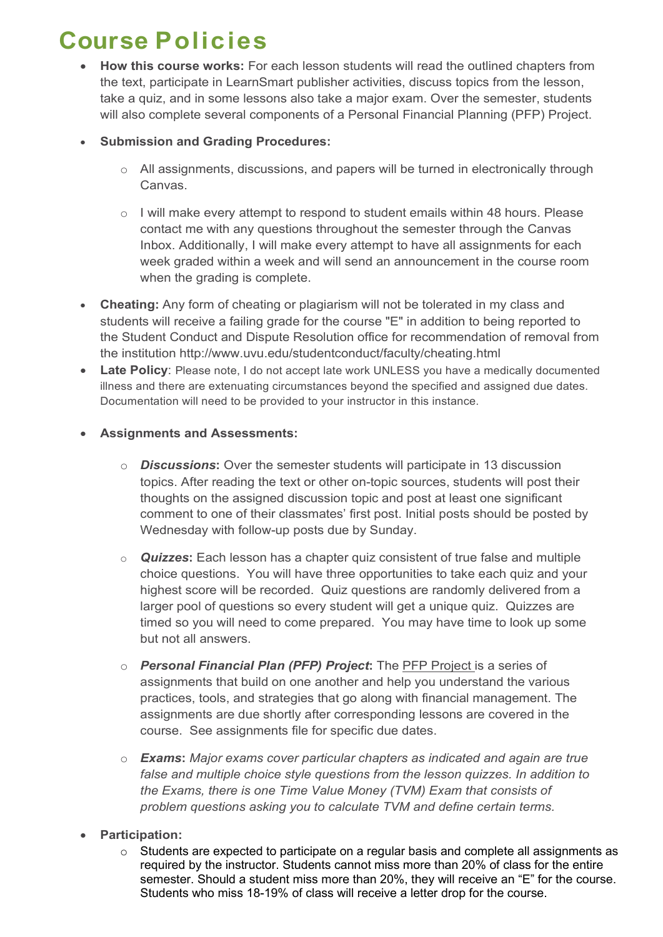## **Course Policies**

• **How this course works:** For each lesson students will read the outlined chapters from the text, participate in LearnSmart publisher activities, discuss topics from the lesson, take a quiz, and in some lessons also take a major exam. Over the semester, students will also complete several components of a Personal Financial Planning (PFP) Project.

### • **Submission and Grading Procedures:**

- o All assignments, discussions, and papers will be turned in electronically through Canvas.
- o I will make every attempt to respond to student emails within 48 hours. Please contact me with any questions throughout the semester through the Canvas Inbox. Additionally, I will make every attempt to have all assignments for each week graded within a week and will send an announcement in the course room when the grading is complete.
- **Cheating:** Any form of cheating or plagiarism will not be tolerated in my class and students will receive a failing grade for the course "E" in addition to being reported to the Student Conduct and Dispute Resolution office for recommendation of removal from the institution http://www.uvu.edu/studentconduct/faculty/cheating.html
- **Late Policy**: Please note, I do not accept late work UNLESS you have a medically documented illness and there are extenuating circumstances beyond the specified and assigned due dates. Documentation will need to be provided to your instructor in this instance.

#### • **Assignments and Assessments:**

- o *Discussions***:** Over the semester students will participate in 13 discussion topics. After reading the text or other on-topic sources, students will post their thoughts on the assigned discussion topic and post at least one significant comment to one of their classmates' first post. Initial posts should be posted by Wednesday with follow-up posts due by Sunday.
- o *Quizzes***:** Each lesson has a chapter quiz consistent of true false and multiple choice questions. You will have three opportunities to take each quiz and your highest score will be recorded. Quiz questions are randomly delivered from a larger pool of questions so every student will get a unique quiz. Quizzes are timed so you will need to come prepared. You may have time to look up some but not all answers.
- o *Personal Financial Plan (PFP) Project***:** The PFP Project is a series of assignments that build on one another and help you understand the various practices, tools, and strategies that go along with financial management. The assignments are due shortly after corresponding lessons are covered in the course. See assignments file for specific due dates.
- o *Exams***:** *Major exams cover particular chapters as indicated and again are true false and multiple choice style questions from the lesson quizzes. In addition to the Exams, there is one Time Value Money (TVM) Exam that consists of problem questions asking you to calculate TVM and define certain terms.*
- **Participation:** 
	- o Students are expected to participate on a regular basis and complete all assignments as required by the instructor. Students cannot miss more than 20% of class for the entire semester. Should a student miss more than 20%, they will receive an "E" for the course. Students who miss 18-19% of class will receive a letter drop for the course.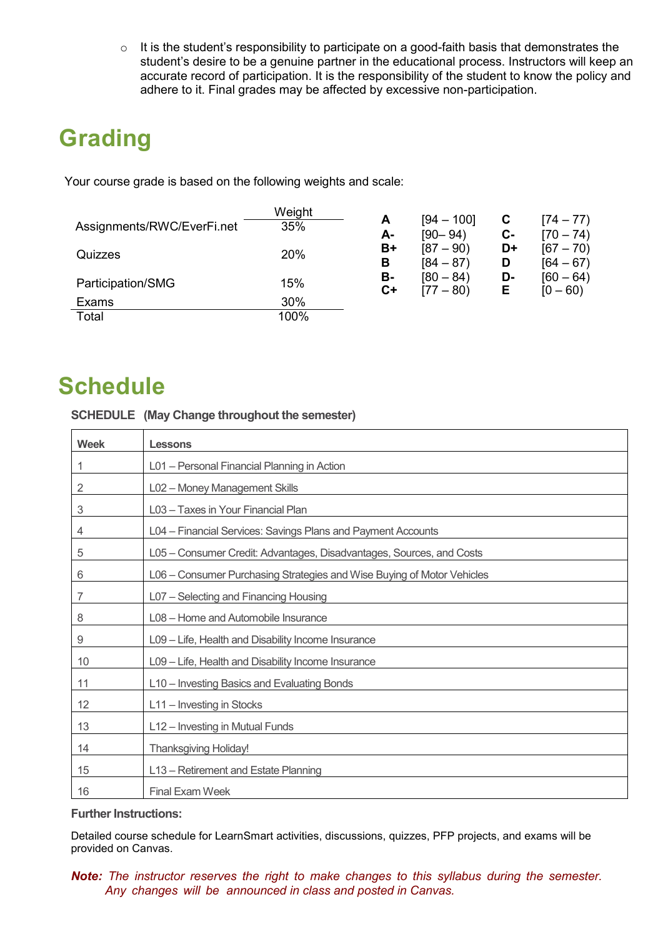$\circ$  It is the student's responsibility to participate on a good-faith basis that demonstrates the student's desire to be a genuine partner in the educational process. Instructors will keep an accurate record of participation. It is the responsibility of the student to know the policy and adhere to it. Final grades may be affected by excessive non-participation.

# **Grading**

Your course grade is based on the following weights and scale:

|                            | Weight |            | $[94 - 100]$               | C       |                            |
|----------------------------|--------|------------|----------------------------|---------|----------------------------|
| Assignments/RWC/EverFi.net | 35%    | А-         | $[90 - 94]$                | $c-$    | $[74 - 77]$<br>$[70 - 74]$ |
| Quizzes                    | 20%    | B+<br>в    | $[87 - 90]$<br>$[84 - 87)$ | D+<br>D | $[67 - 70]$<br>$[64 - 67)$ |
| Participation/SMG          | 15%    | в-<br>$C+$ | $[80 - 84]$<br>$[77 - 80]$ | D-<br>Е | $[60 - 64]$<br>$[0 - 60]$  |
| Exams                      | 30%    |            |                            |         |                            |
| Total                      | 100%   |            |                            |         |                            |

## **Schedule**

#### **SCHEDULE (May Change throughout the semester)**

| <b>Week</b>               | Lessons                                                                |
|---------------------------|------------------------------------------------------------------------|
| 1                         | L01 - Personal Financial Planning in Action                            |
| 2                         | L02 - Money Management Skills                                          |
| $\ensuremath{\mathsf{3}}$ | L03 - Taxes in Your Financial Plan                                     |
| 4                         | L04 - Financial Services: Savings Plans and Payment Accounts           |
| 5                         | L05 – Consumer Credit: Advantages, Disadvantages, Sources, and Costs   |
| 6                         | L06 - Consumer Purchasing Strategies and Wise Buying of Motor Vehicles |
| 7                         | L07 - Selecting and Financing Housing                                  |
| 8                         | L08 - Home and Automobile Insurance                                    |
| $\boldsymbol{9}$          | L09 - Life, Health and Disability Income Insurance                     |
| 10                        | L09 - Life, Health and Disability Income Insurance                     |
| 11                        | L10 - Investing Basics and Evaluating Bonds                            |
| 12                        | L11 - Investing in Stocks                                              |
| 13                        | L12 - Investing in Mutual Funds                                        |
| 14                        | <b>Thanksgiving Holiday!</b>                                           |
| 15                        | L13 - Retirement and Estate Planning                                   |
| 16                        | <b>Final Exam Week</b>                                                 |

#### **Further Instructions:**

Detailed course schedule for LearnSmart activities, discussions, quizzes, PFP projects, and exams will be provided on Canvas.

*Note: The instructor reserves the right to make changes to this syllabus during the semester. Any changes will be announced in class and posted in Canvas.*